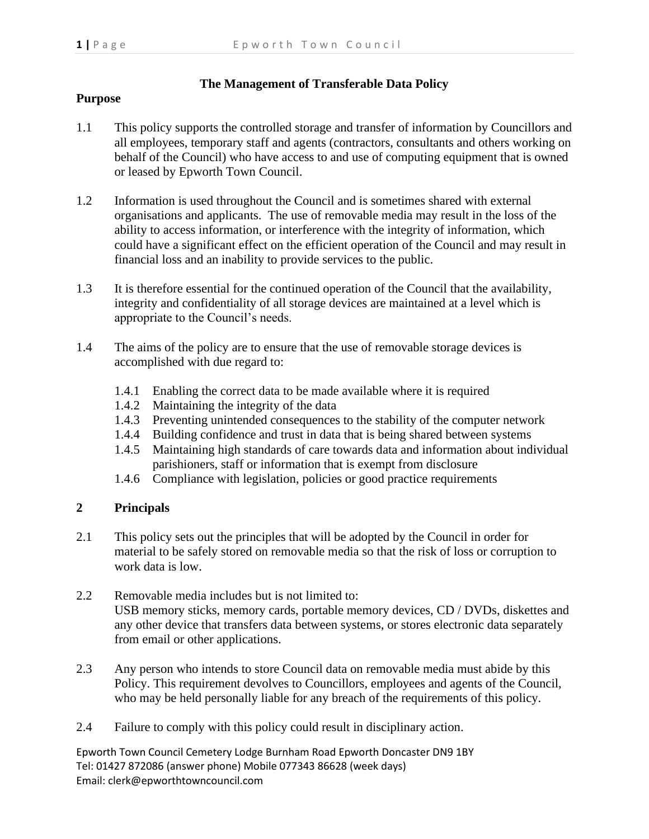## **The Management of Transferable Data Policy**

## **Purpose**

- 1.1 This policy supports the controlled storage and transfer of information by Councillors and all employees, temporary staff and agents (contractors, consultants and others working on behalf of the Council) who have access to and use of computing equipment that is owned or leased by Epworth Town Council.
- 1.2 Information is used throughout the Council and is sometimes shared with external organisations and applicants. The use of removable media may result in the loss of the ability to access information, or interference with the integrity of information, which could have a significant effect on the efficient operation of the Council and may result in financial loss and an inability to provide services to the public.
- 1.3 It is therefore essential for the continued operation of the Council that the availability, integrity and confidentiality of all storage devices are maintained at a level which is appropriate to the Council's needs.
- 1.4 The aims of the policy are to ensure that the use of removable storage devices is accomplished with due regard to:
	- 1.4.1 Enabling the correct data to be made available where it is required
	- 1.4.2 Maintaining the integrity of the data
	- 1.4.3 Preventing unintended consequences to the stability of the computer network
	- 1.4.4 Building confidence and trust in data that is being shared between systems
	- 1.4.5 Maintaining high standards of care towards data and information about individual parishioners, staff or information that is exempt from disclosure
	- 1.4.6 Compliance with legislation, policies or good practice requirements

## **2 Principals**

- 2.1 This policy sets out the principles that will be adopted by the Council in order for material to be safely stored on removable media so that the risk of loss or corruption to work data is low.
- 2.2 Removable media includes but is not limited to: USB memory sticks, memory cards, portable memory devices, CD / DVDs, diskettes and any other device that transfers data between systems, or stores electronic data separately from email or other applications.
- 2.3 Any person who intends to store Council data on removable media must abide by this Policy. This requirement devolves to Councillors, employees and agents of the Council, who may be held personally liable for any breach of the requirements of this policy.
- 2.4 Failure to comply with this policy could result in disciplinary action.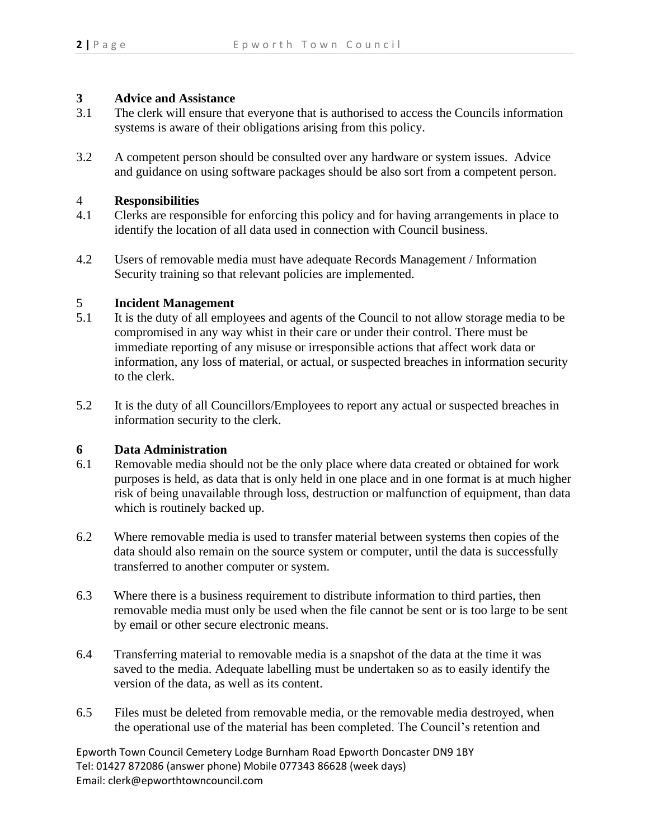## **3 Advice and Assistance**

- 3.1 The clerk will ensure that everyone that is authorised to access the Councils information systems is aware of their obligations arising from this policy.
- 3.2 A competent person should be consulted over any hardware or system issues. Advice and guidance on using software packages should be also sort from a competent person.

#### 4 **Responsibilities**

- 4.1 Clerks are responsible for enforcing this policy and for having arrangements in place to identify the location of all data used in connection with Council business.
- 4.2 Users of removable media must have adequate Records Management / Information Security training so that relevant policies are implemented.

# 5.1 **Incident Management**<br>5.1 It is the duty of all empl

- It is the duty of all employees and agents of the Council to not allow storage media to be compromised in any way whist in their care or under their control. There must be immediate reporting of any misuse or irresponsible actions that affect work data or information, any loss of material, or actual, or suspected breaches in information security to the clerk.
- 5.2 It is the duty of all Councillors/Employees to report any actual or suspected breaches in information security to the clerk.

#### **6 Data Administration**

- 6.1 Removable media should not be the only place where data created or obtained for work purposes is held, as data that is only held in one place and in one format is at much higher risk of being unavailable through loss, destruction or malfunction of equipment, than data which is routinely backed up.
- 6.2 Where removable media is used to transfer material between systems then copies of the data should also remain on the source system or computer, until the data is successfully transferred to another computer or system.
- 6.3 Where there is a business requirement to distribute information to third parties, then removable media must only be used when the file cannot be sent or is too large to be sent by email or other secure electronic means.
- 6.4 Transferring material to removable media is a snapshot of the data at the time it was saved to the media. Adequate labelling must be undertaken so as to easily identify the version of the data, as well as its content.
- 6.5 Files must be deleted from removable media, or the removable media destroyed, when the operational use of the material has been completed. The Council's retention and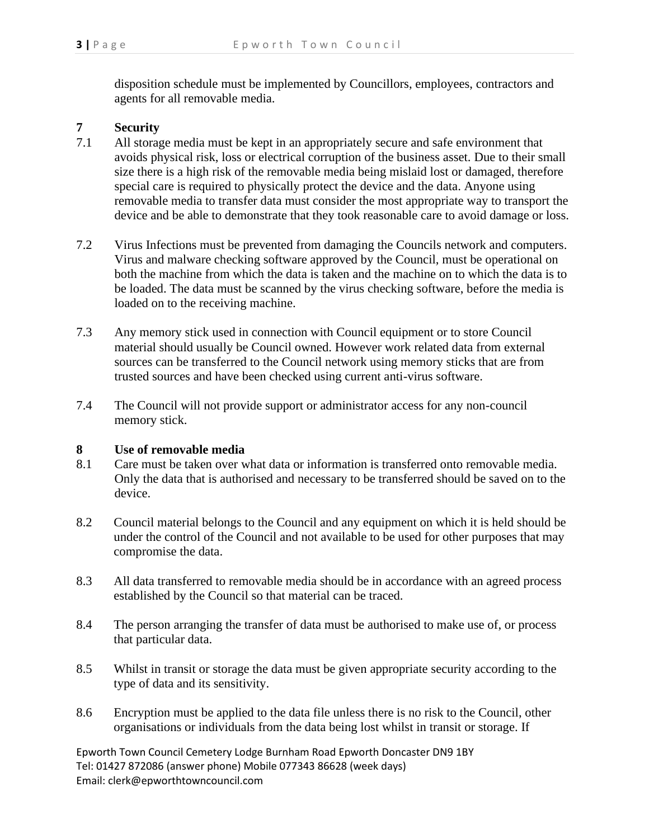disposition schedule must be implemented by Councillors, employees, contractors and agents for all removable media.

## **7 Security**

- 7.1 All storage media must be kept in an appropriately secure and safe environment that avoids physical risk, loss or electrical corruption of the business asset. Due to their small size there is a high risk of the removable media being mislaid lost or damaged, therefore special care is required to physically protect the device and the data. Anyone using removable media to transfer data must consider the most appropriate way to transport the device and be able to demonstrate that they took reasonable care to avoid damage or loss.
- 7.2 Virus Infections must be prevented from damaging the Councils network and computers. Virus and malware checking software approved by the Council, must be operational on both the machine from which the data is taken and the machine on to which the data is to be loaded. The data must be scanned by the virus checking software, before the media is loaded on to the receiving machine.
- 7.3 Any memory stick used in connection with Council equipment or to store Council material should usually be Council owned. However work related data from external sources can be transferred to the Council network using memory sticks that are from trusted sources and have been checked using current anti-virus software.
- 7.4 The Council will not provide support or administrator access for any non-council memory stick.

#### **8 Use of removable media**

- 8.1 Care must be taken over what data or information is transferred onto removable media. Only the data that is authorised and necessary to be transferred should be saved on to the device.
- 8.2 Council material belongs to the Council and any equipment on which it is held should be under the control of the Council and not available to be used for other purposes that may compromise the data.
- 8.3 All data transferred to removable media should be in accordance with an agreed process established by the Council so that material can be traced.
- 8.4 The person arranging the transfer of data must be authorised to make use of, or process that particular data.
- 8.5 Whilst in transit or storage the data must be given appropriate security according to the type of data and its sensitivity.
- 8.6 Encryption must be applied to the data file unless there is no risk to the Council, other organisations or individuals from the data being lost whilst in transit or storage. If